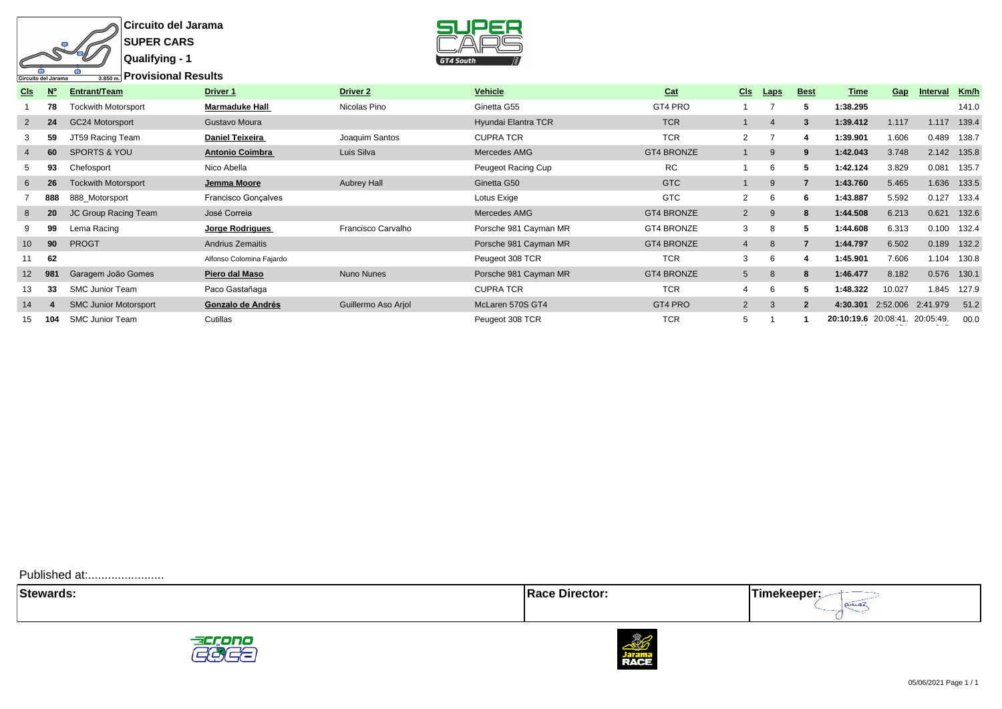

**Circuito del Jarama SUPER CARS**



| <b>CIs</b>      | N <sub>c</sub> | Entrant/Team                 | Driver 1                 | <b>Driver 2</b>     | Vehicle               | Cat               | <b>CIs</b>     | <b>Laps</b> | <b>Best</b>    | Time                           | Gap    | Interval          | Km/h        |
|-----------------|----------------|------------------------------|--------------------------|---------------------|-----------------------|-------------------|----------------|-------------|----------------|--------------------------------|--------|-------------------|-------------|
|                 | 78             | <b>Tockwith Motorsport</b>   | <b>Marmaduke Hall</b>    | Nicolas Pino        | Ginetta G55           | GT4 PRO           |                |             | h              | 1:38.295                       |        |                   | 141.0       |
| $\overline{2}$  | 24             | GC24 Motorsport              | Gustavo Moura            |                     | Hyundai Elantra TCR   | <b>TCR</b>        |                | 4           | 3              | 1:39.412                       | 1.117  | 1.117             | 139.4       |
| 3               | 59             | JT59 Racing Team             | <b>Daniel Teixeira</b>   | Joaquim Santos      | <b>CUPRATCR</b>       | <b>TCR</b>        | $\overline{2}$ |             | 4              | 1:39.901                       | 1.606  | 0.489             | 138.7       |
| 4               | 60             | <b>SPORTS &amp; YOU</b>      | <b>Antonio Coimbra</b>   | Luis Silva          | Mercedes AMG          | <b>GT4 BRONZE</b> |                | 9           | 9              | 1:42.043                       | 3.748  |                   | 2.142 135.8 |
| 5               | 93             | Chefosport                   | Nico Abella              |                     | Peugeot Racing Cup    | RC                |                | 6           | 5              | 1:42.124                       | 3.829  | 0.081             | 135.7       |
| 6               | 26             | <b>Tockwith Motorsport</b>   | Jemma Moore              | <b>Aubrey Hall</b>  | Ginetta G50           | <b>GTC</b>        |                | 9           | $\overline{7}$ | 1:43.760                       | 5.465  |                   | 1.636 133.5 |
|                 | 888            | 888 Motorsport               | Francisco Gonçalves      |                     | Lotus Exige           | GTC               | $\overline{2}$ | 6           | 6              | 1:43.887                       | 5.592  | 0.127             | 133.4       |
| 8               | 20             | JC Group Racing Team         | José Correia             |                     | Mercedes AMG          | <b>GT4 BRONZE</b> | $\overline{2}$ | 9           | 8              | 1:44.508                       | 6.213  | 0.621             | 132.6       |
| 9               | 99             | Lema Racing                  | Jorge Rodrigues          | Francisco Carvalho  | Porsche 981 Cayman MR | GT4 BRONZE        | 3              | 8           | 5              | 1:44.608                       | 6.313  | 0.100             | 132.4       |
| 10 <sup>1</sup> | 90             | <b>PROGT</b>                 | Andrius Zemaitis         |                     | Porsche 981 Cayman MR | <b>GT4 BRONZE</b> | $\overline{4}$ | 8           |                | 1:44.797                       | 6.502  | 0.189             | 132.2       |
| 11              | 62             |                              | Alfonso Colomina Fajardo |                     | Peugeot 308 TCR       | <b>TCR</b>        | 3              | 6           | 4              | 1:45.901                       | 7.606  | 1.104             | 130.8       |
| 12 <sup>2</sup> | 981            | Garagem João Gomes           | Piero dal Maso           | <b>Nuno Nunes</b>   | Porsche 981 Cayman MR | <b>GT4 BRONZE</b> | 5 <sup>5</sup> | 8           | 8              | 1:46.477                       | 8.182  | 0.576             | 130.1       |
| 13.             | 33             | <b>SMC Junior Team</b>       | Paco Gastañaga           |                     | <b>CUPRATCR</b>       | <b>TCR</b>        | 4              | 6           |                | 1:48.322                       | 10.027 | 1.845             | 127.9       |
| 14              |                | <b>SMC Junior Motorsport</b> | Gonzalo de Andrés        | Guillermo Aso Arjol | McLaren 570S GT4      | GT4 PRO           | $\overline{2}$ | 3           | $\overline{2}$ | 4:30.301                       |        | 2:52.006 2:41.979 | 51.2        |
| 15              | 104            | <b>SMC Junior Team</b>       | Cutillas                 |                     | Peugeot 308 TCR       | <b>TCR</b>        | 5              |             |                | 20:10:19.6 20:08:41. 20:05:49. |        |                   | 00.0        |

Published at:........................





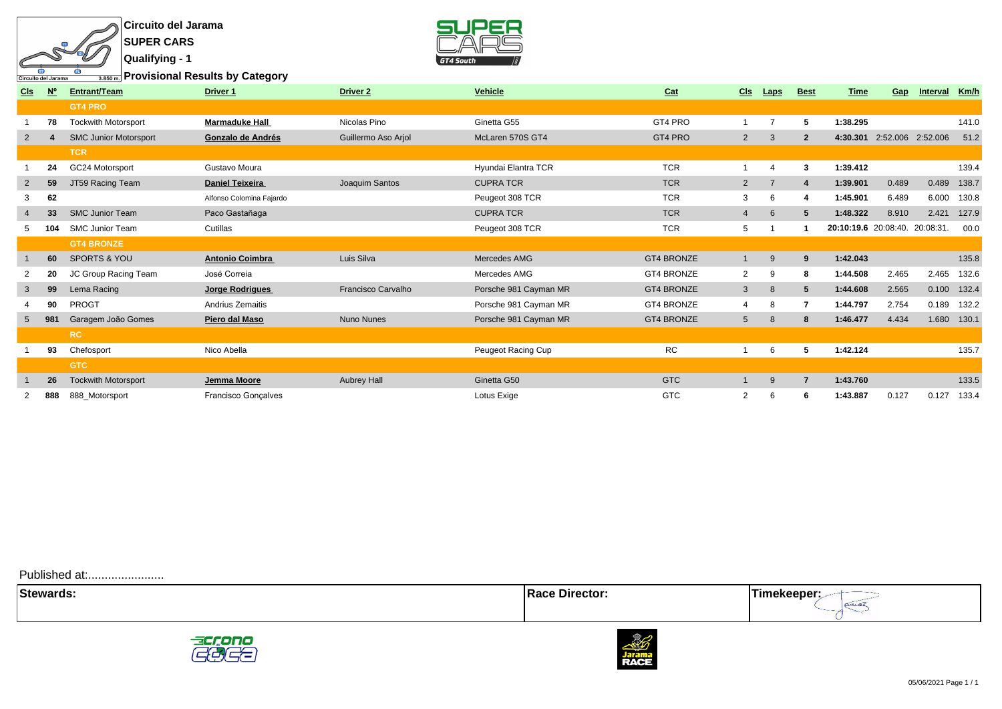**Circuito del Jarama SUPER CARS Qualifying - 1**

 $\overline{150}$ 

ъ

क

Circuito del Jarama



**Provisional Results by Category**

| <b>CIs</b>     | N <sup>c</sup> | Entrant/Team                 | <b>Driver 1</b>          | <b>Driver 2</b>           | Vehicle               | Cat               | <b>CIs</b>      | Laps           | <b>Best</b>    | Time                 | Gap   | Interval          | Km/h  |
|----------------|----------------|------------------------------|--------------------------|---------------------------|-----------------------|-------------------|-----------------|----------------|----------------|----------------------|-------|-------------------|-------|
|                |                | <b>GT4 PRO</b>               |                          |                           |                       |                   |                 |                |                |                      |       |                   |       |
|                | 78             | <b>Tockwith Motorsport</b>   | <b>Marmaduke Hall</b>    | Nicolas Pino              | Ginetta G55           | GT4 PRO           | $\overline{1}$  | $\overline{7}$ | 5              | 1:38.295             |       |                   | 141.0 |
| $\overline{2}$ |                | <b>SMC Junior Motorsport</b> | Gonzalo de Andrés        | Guillermo Aso Arjol       | McLaren 570S GT4      | GT4 PRO           | $\overline{2}$  | 3              | $\overline{2}$ | 4:30.301             |       | 2:52.006 2:52.006 | 51.2  |
|                |                | <b>TCR</b>                   |                          |                           |                       |                   |                 |                |                |                      |       |                   |       |
|                | 24             | GC24 Motorsport              | Gustavo Moura            |                           | Hyundai Elantra TCR   | <b>TCR</b>        |                 | $\overline{4}$ | 3              | 1:39.412             |       |                   | 139.4 |
| $2^{\circ}$    | 59             | JT59 Racing Team             | <b>Daniel Teixeira</b>   | Joaquim Santos            | <b>CUPRATCR</b>       | <b>TCR</b>        | $\overline{2}$  | $\overline{7}$ | $\overline{a}$ | 1:39.901             | 0.489 | 0.489             | 138.7 |
|                | 62             |                              | Alfonso Colomina Fajardo |                           | Peugeot 308 TCR       | <b>TCR</b>        | 3               | 6              | 4              | 1:45.901             | 6.489 | 6.000             | 130.8 |
|                | 33             | <b>SMC Junior Team</b>       | Paco Gastañaga           |                           | <b>CUPRATCR</b>       | <b>TCR</b>        | $\overline{4}$  | 6              | -5             | 1:48.322             | 8.910 | 2.421             | 127.9 |
|                |                | <b>SMC Junior Team</b>       | Cutillas                 |                           | Peugeot 308 TCR       | <b>TCR</b>        | 5               |                |                | 20:10:19.6 20:08:40. |       | 20:08:31.         | 00.0  |
|                |                | <b>GT4 BRONZE</b>            |                          |                           |                       |                   |                 |                |                |                      |       |                   |       |
|                | 60             | <b>SPORTS &amp; YOU</b>      | <b>Antonio Coimbra</b>   | Luis Silva                | Mercedes AMG          | <b>GT4 BRONZE</b> | $\mathbf{1}$    | 9              | 9              | 1:42.043             |       |                   | 135.8 |
| 2              | 20             | JC Group Racing Team         | José Correia             |                           | Mercedes AMG          | GT4 BRONZE        | 2               | 9              | 8              | 1:44.508             | 2.465 | 2.465             | 132.6 |
| 3              | 99             | Lema Racing                  | Jorge Rodrigues          | <b>Francisco Carvalho</b> | Porsche 981 Cayman MR | <b>GT4 BRONZE</b> | $\mathbf{3}$    | 8              | 5              | 1:44.608             | 2.565 | 0.100             | 132.4 |
|                | 90             | <b>PROGT</b>                 | Andrius Zemaitis         |                           | Porsche 981 Cayman MR | <b>GT4 BRONZE</b> | 4               | 8              | 7              | 1:44.797             | 2.754 | 0.189             | 132.2 |
| 5 <sup>5</sup> | 981            | Garagem João Gomes           | Piero dal Maso           | <b>Nuno Nunes</b>         | Porsche 981 Cayman MR | <b>GT4 BRONZE</b> | $5\overline{)}$ | 8              | 8              | 1:46.477             | 4.434 | 1.680             | 130.1 |
|                |                | <b>RC</b>                    |                          |                           |                       |                   |                 |                |                |                      |       |                   |       |
|                | 93             | Chefosport                   | Nico Abella              |                           | Peugeot Racing Cup    | <b>RC</b>         |                 | 6              | 5              | 1:42.124             |       |                   | 135.7 |
|                |                | <b>GTC</b>                   |                          |                           |                       |                   |                 |                |                |                      |       |                   |       |
|                | 26             | <b>Tockwith Motorsport</b>   | Jemma Moore              | <b>Aubrey Hall</b>        | Ginetta G50           | <b>GTC</b>        |                 | 9              | $\overline{7}$ | 1:43.760             |       |                   | 133.5 |
|                | 888            | 888_Motorsport               | Francisco Gonçalves      |                           | Lotus Exige           | <b>GTC</b>        | 2               | 6              | 6              | 1:43.887             | 0.127 | 0.127             | 133.4 |
|                |                |                              |                          |                           |                       |                   |                 |                |                |                      |       |                   |       |

Published at:........................

| $C_{1.11}$ | . LUI |  |
|------------|-------|--|
|            |       |  |



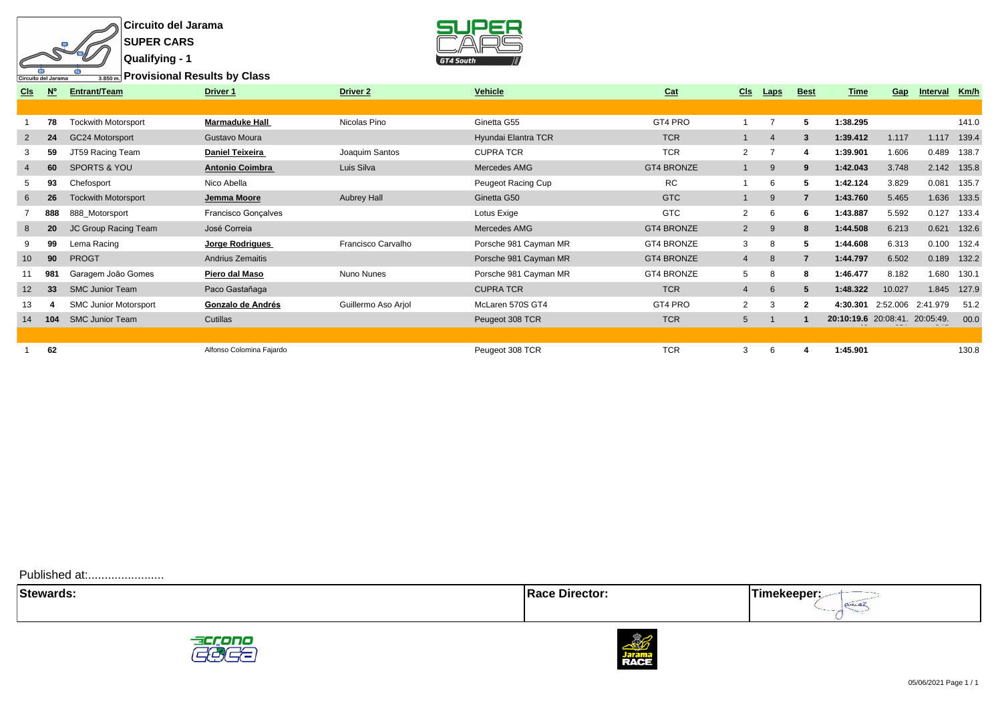

**Circuito del Jarama SUPER CARS**



**Provisional Results by Class**

| Km/h<br>Interval                       |
|----------------------------------------|
|                                        |
| 141.0                                  |
| 139.4<br>1.117                         |
| 0.489<br>138.7                         |
| 2.142<br>135.8                         |
| 0.081<br>135.7                         |
| 1.636<br>133.5                         |
| 0.127<br>133.4                         |
| 0.621<br>132.6                         |
| 0.100<br>132.4                         |
| 0.189<br>132.2                         |
| 1.680<br>130.1                         |
| 1.845<br>127.9                         |
| 2:41.979<br>51.2                       |
| 20:10:19.6 20:08:41. 20:05:49.<br>00.0 |
|                                        |
| 130.8                                  |
| 2:52.006                               |

Published at:........................

 $\frac{1}{\sqrt{\frac{1}{1-\frac{1}{1-\frac{1}{1-\frac{1}{1-\frac{1}{1-\frac{1}{1-\frac{1}{1-\frac{1}{1-\frac{1}{1-\frac{1}{1-\frac{1}{1-\frac{1}{1-\frac{1}{1-\frac{1}{1-\frac{1}{1-\frac{1}{1-\frac{1}{1-\frac{1}{1-\frac{1}{1-\frac{1}{1-\frac{1}{1-\frac{1}{1-\frac{1}{1-\frac{1}{1-\frac{1}{1-\frac{1}{1-\frac{1}{1-\frac{1}{1-\frac{1}{1-\frac{1}{1-\frac{1}{1-\frac{1}{1-\frac{1}{1-\frac{1}{1-\frac{1}{1-\frac{$ **Stewards:** Timekeeper:



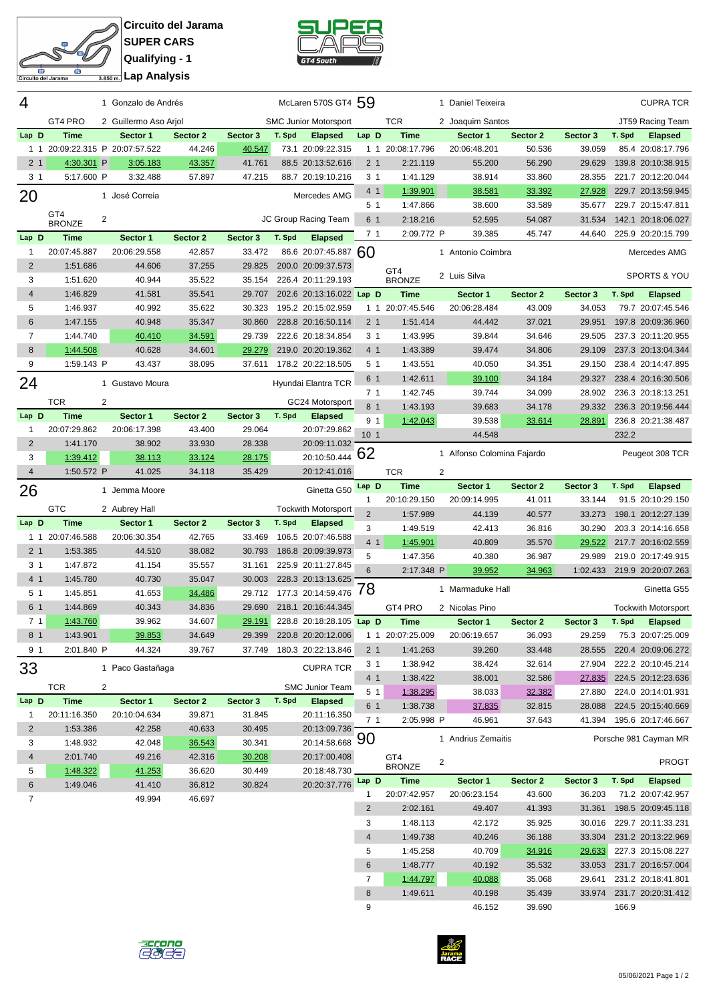

**Circuito del Jarama SUPER CARS Qualifying - 1**



| 4                   |                             | 1 Gonzalo de Andrés         |                    |                    |        | McLaren 570S GT4 59             |                      |                      |                | 1 Daniel Teixeira          |                  |                         |        | <b>CUPRA TCR</b>                                |
|---------------------|-----------------------------|-----------------------------|--------------------|--------------------|--------|---------------------------------|----------------------|----------------------|----------------|----------------------------|------------------|-------------------------|--------|-------------------------------------------------|
|                     | GT4 PRO                     | 2 Guillermo Aso Arjol       |                    |                    |        | <b>SMC Junior Motorsport</b>    |                      | <b>TCR</b>           |                | 2 Joaquim Santos           |                  |                         |        | JT59 Racing Team                                |
| Lap D               | <b>Time</b>                 | Sector 1                    | Sector 2           | Sector 3           | T. Spd | <b>Elapsed</b>                  | Lap D                | <b>Time</b>          |                | Sector 1                   | Sector 2         | Sector 3                | T. Spd | <b>Elapsed</b>                                  |
| $1\quad1$           |                             | 20:09:22.315 P 20:07:57.522 | 44.246             | 40.547             |        | 73.1 20:09:22.315               | $1\quad1$            | 20:08:17.796         |                | 20:06:48.201               | 50.536           | 39.059                  |        | 85.4 20:08:17.796                               |
| 2 <sub>1</sub>      | 4:30.301 P                  | 3:05.183                    | 43.357             | 41.761             |        | 88.5 20:13:52.616               | 2 <sub>1</sub>       | 2:21.119             |                | 55.200                     | 56.290           | 29.629                  |        | 139.8 20:10:38.915                              |
| 3 <sub>1</sub>      | 5:17.600 P                  | 3:32.488                    | 57.897             | 47.215             |        | 88.7 20:19:10.216               | 3 <sub>1</sub>       | 1:41.129             |                | 38.914                     | 33.860           | 28.355                  |        | 221.7 20:12:20.044                              |
| 20                  |                             | 1 José Correia              |                    |                    |        | Mercedes AMG                    | 4 <sub>1</sub>       | 1:39.901             |                | 38.581                     | 33.392           | 27.928                  |        | 229.7 20:13:59.945                              |
|                     |                             |                             |                    |                    |        |                                 | 5 1                  | 1:47.866             |                | 38.600                     | 33.589           | 35.677                  |        | 229.7 20:15:47.811                              |
|                     | GT4<br><b>BRONZE</b>        | $\overline{2}$              |                    |                    |        | JC Group Racing Team            | 6 1                  | 2:18.216             |                | 52.595                     | 54.087           | 31.534                  |        | 142.1 20:18:06.027                              |
| Lap D               | <b>Time</b>                 | Sector 1                    | Sector 2           | Sector 3           | T. Spd | <b>Elapsed</b>                  | 7 <sub>1</sub>       | 2:09.772 P           |                | 39.385                     | 45.747           | 44.640                  |        | 225.9 20:20:15.799                              |
| 1                   | 20:07:45.887                | 20:06:29.558                | 42.857             | 33.472             |        | 86.6 20:07:45.887 60            |                      |                      |                | 1 Antonio Coimbra          |                  |                         |        | Mercedes AMG                                    |
| $\overline{c}$      | 1:51.686                    | 44.606                      | 37.255             | 29.825             |        | 200.0 20:09:37.573              |                      |                      |                |                            |                  |                         |        |                                                 |
| 3                   | 1:51.620                    | 40.944                      | 35.522             | 35.154             |        | 226.4 20:11:29.193              |                      | GT4<br><b>BRONZE</b> |                | 2 Luis Silva               |                  |                         |        | <b>SPORTS &amp; YOU</b>                         |
| 4                   | 1:46.829                    | 41.581                      | 35.541             | 29.707             |        | 202.6 20:13:16.022 Lap D        |                      | <b>Time</b>          |                | Sector 1                   | Sector 2         | Sector 3                | T. Spd | <b>Elapsed</b>                                  |
| 5                   | 1:46.937                    | 40.992                      | 35.622             | 30.323             |        | 195.2 20:15:02.959              | 1 1                  | 20:07:45.546         |                | 20:06:28.484               | 43.009           | 34.053                  |        | 79.7 20:07:45.546                               |
| 6                   | 1:47.155                    | 40.948                      | 35.347             | 30.860             |        | 228.8 20:16:50.114              | 2 <sub>1</sub>       | 1:51.414             |                | 44.442                     | 37.021           | 29.951                  |        | 197.8 20:09:36.960                              |
| $\overline{7}$      | 1:44.740                    | 40.410                      | 34.591             | 29.739             |        | 222.6 20:18:34.854              | 3 <sub>1</sub>       | 1:43.995             |                | 39.844                     | 34.646           | 29.505                  |        | 237.3 20:11:20.955                              |
| 8                   | 1:44.508                    | 40.628                      | 34.601             | 29.279             |        | 219.0 20:20:19.362              | 4 1                  | 1:43.389             |                | 39.474                     | 34.806           | 29.109                  |        | 237.3 20:13:04.344                              |
| 9                   | 1:59.143 P                  | 43.437                      | 38.095             | 37.611             |        | 178.2 20:22:18.505              | 5 <sub>1</sub>       | 1:43.551             |                | 40.050                     | 34.351           | 29.150                  |        | 238.4 20:14:47.895                              |
| 24                  |                             | 1 Gustavo Moura             |                    |                    |        | Hyundai Elantra TCR             | 6 1                  | 1:42.611             |                | 39.100                     | 34.184           | 29.327                  |        | 238.4 20:16:30.506                              |
|                     |                             |                             |                    |                    |        |                                 | 7 <sub>1</sub>       | 1:42.745             |                | 39.744                     | 34.099           | 28.902                  |        | 236.3 20:18:13.251                              |
|                     | TCR                         | 2                           |                    |                    |        | GC24 Motorsport                 | 8 <sub>1</sub>       | 1:43.193             |                | 39.683                     | 34.178           | 29.332                  |        | 236.3 20:19:56.444                              |
| Lap D               | <b>Time</b><br>20:07:29.862 | Sector 1<br>20:06:17.398    | Sector 2<br>43.400 | Sector 3<br>29.064 | T. Spd | <b>Elapsed</b><br>20:07:29.862  | 9 <sub>1</sub>       | 1:42.043             |                | 39.538                     | 33.614           | 28.891                  |        | 236.8 20:21:38.487                              |
| 1<br>$\overline{2}$ | 1:41.170                    | 38.902                      | 33.930             | 28.338             |        | 20:09:11.032                    | 10 <sub>1</sub>      |                      |                | 44.548                     |                  |                         | 232.2  |                                                 |
| 3                   | 1:39.412                    | 38.113                      | 33.124             | 28.175             |        | 20:10:50.444                    | 62                   |                      |                | 1 Alfonso Colomina Fajardo |                  |                         |        | Peugeot 308 TCR                                 |
| 4                   | 1:50.572 P                  | 41.025                      | 34.118             | 35.429             |        | 20:12:41.016                    |                      | <b>TCR</b>           | $\overline{c}$ |                            |                  |                         |        |                                                 |
|                     |                             |                             |                    |                    |        |                                 | Lap D                | <b>Time</b>          |                | Sector 1                   | Sector 2         | Sector 3                | T. Spd | <b>Elapsed</b>                                  |
| 26                  |                             | 1 Jemma Moore               |                    |                    |        | Ginetta G50                     | 1                    | 20:10:29.150         |                | 20:09:14.995               | 41.011           | 33.144                  |        | 91.5 20:10:29.150                               |
|                     | <b>GTC</b>                  | 2 Aubrey Hall               |                    |                    |        | <b>Tockwith Motorsport</b>      | $\overline{2}$       | 1:57.989             |                | 44.139                     | 40.577           | 33.273                  |        | 198.1 20:12:27.139                              |
| Lap D               | <b>Time</b>                 | Sector 1                    | Sector 2           | Sector 3           | T. Spd | <b>Elapsed</b>                  | 3                    | 1:49.519             |                | 42.413                     | 36.816           | 30.290                  |        | 203.3 20:14:16.658                              |
| 1 1                 | 20:07:46.588                | 20:06:30.354                | 42.765             | 33.469             |        | 106.5 20:07:46.588              | 4 1                  | 1:45.901             |                | 40.809                     | 35.570           | 29.522                  |        | 217.7 20:16:02.559                              |
| 2 <sub>1</sub>      | 1:53.385                    | 44.510                      | 38.082             | 30.793             |        | 186.8 20:09:39.973              | 5                    | 1:47.356             |                | 40.380                     | 36.987           | 29.989                  |        | 219.0 20:17:49.915                              |
| 31                  | 1:47.872                    |                             |                    |                    |        |                                 |                      |                      |                |                            |                  |                         |        |                                                 |
| 4 1                 |                             | 41.154                      | 35.557             | 31.161             |        | 225.9 20:11:27.845              | 6                    | 2:17.348 P           |                | 39.952                     | 34.963           | 1:02.433                |        | 219.9 20:20:07.263                              |
|                     | 1:45.780                    | 40.730                      | 35.047             | 30.003             |        | 228.3 20:13:13.625              |                      |                      |                |                            |                  |                         |        |                                                 |
| 5 1                 | 1:45.851                    | 41.653                      | 34.486             | 29.712             |        | 177.3 20:14:59.476              | 78                   |                      |                | 1 Marmaduke Hall           |                  |                         |        | Ginetta G55                                     |
| 6 1                 | 1:44.869                    | 40.343                      | 34.836             | 29.690             |        | 218.1 20:16:44.345              |                      | GT4 PRO              |                | 2 Nicolas Pino             |                  |                         |        | <b>Tockwith Motorsport</b>                      |
| 7 <sub>1</sub>      | 1:43.760                    | 39.962                      | 34.607             |                    |        | 29.191 228.8 20:18:28.105 Lap D |                      | <b>Time</b>          |                | Sector 1                   | Sector 2         | Sector 3 T. Spd Elapsed |        |                                                 |
| 8 1                 | 1:43.901                    | 39.853                      | 34.649             | 29.399             |        | 220.8 20:20:12.006              |                      | 1 1 20:07:25.009     |                | 20:06:19.657               | 36.093           | 29.259                  |        | 75.3 20:07:25.009                               |
| 9 <sub>1</sub>      | 2:01.840 P                  | 44.324                      | 39.767             | 37.749             |        | 180.3 20:22:13.846              | 2 <sub>1</sub>       | 1:41.263             |                | 39.260                     | 33.448           |                         |        | 28.555 220.4 20:09:06.272                       |
| 33                  |                             | 1 Paco Gastañaga            |                    |                    |        | <b>CUPRA TCR</b>                | 31<br>4 <sub>1</sub> | 1:38.942             |                | 38.424                     | 32.614<br>32.586 | 27.904                  |        | 222.2 20:10:45.214                              |
|                     | <b>TCR</b>                  | 2                           |                    |                    |        | <b>SMC Junior Team</b>          | 5 <sub>1</sub>       | 1:38.422<br>1:38.295 |                | 38.001<br>38.033           | 32.382           | 27.880                  |        | 27.835 224.5 20:12:23.636<br>224.0 20:14:01.931 |
| Lap D               | <b>Time</b>                 | Sector 1                    | Sector 2           | Sector 3           |        | T. Spd Elapsed                  | 6 1                  | 1:38.738             |                | 37.835                     | 32.815           | 28.088                  |        | 224.5 20:15:40.669                              |
| $\mathbf{1}$        | 20:11:16.350                | 20:10:04.634                | 39.871             | 31.845             |        | 20:11:16.350                    | 7 <sub>1</sub>       | 2:05.998 P           |                | 46.961                     | 37.643           |                         |        | 41.394 195.6 20:17:46.667                       |
| $\overline{2}$      | 1:53.386                    | 42.258                      | 40.633             | 30.495             |        | 20:13:09.736                    |                      |                      |                |                            |                  |                         |        |                                                 |
| 3                   | 1:48.932                    | 42.048                      | 36.543             | 30.341             |        | 20:14:58.668                    | 90                   |                      |                | 1 Andrius Zemaitis         |                  |                         |        | Porsche 981 Cayman MR                           |
| 4                   | 2:01.740                    | 49.216                      | 42.316             | 30.208             |        | 20:17:00.408                    |                      | GT4<br><b>BRONZE</b> | 2              |                            |                  |                         |        | <b>PROGT</b>                                    |
| 5                   | 1:48.322                    | 41.253                      | 36.620             | 30.449             |        | 20:18:48.730                    | Lap D                | Time                 |                | Sector 1                   | Sector 2         | Sector 3                | T. Spd | <b>Elapsed</b>                                  |
| 6                   | 1:49.046                    | 41.410                      | 36.812             | 30.824             |        | 20:20:37.776                    | 1                    | 20:07:42.957         |                | 20:06:23.154               | 43.600           | 36.203                  |        | 71.2 20:07:42.957                               |
| 7                   |                             | 49.994                      | 46.697             |                    |        |                                 | $\overline{c}$       | 2:02.161             |                | 49.407                     | 41.393           |                         |        | 31.361 198.5 20:09:45.118                       |
|                     |                             |                             |                    |                    |        |                                 | 3                    | 1:48.113             |                | 42.172                     | 35.925           |                         |        | 30.016 229.7 20:11:33.231                       |
|                     |                             |                             |                    |                    |        |                                 | $\overline{4}$       | 1:49.738             |                | 40.246                     | 36.188           |                         |        | 33.304 231.2 20:13:22.969                       |
|                     |                             |                             |                    |                    |        |                                 | 5                    | 1:45.258             |                | 40.709                     | 34.916           | 29.633                  |        | 227.3 20:15:08.227                              |
|                     |                             |                             |                    |                    |        |                                 | 6                    | 1:48.777             |                | 40.192                     | 35.532           |                         |        | 33.053 231.7 20:16:57.004                       |
|                     |                             |                             |                    |                    |        |                                 | 7                    | 1:44.797             |                | 40.088                     | 35.068           |                         |        | 29.641 231.2 20:18:41.801                       |
|                     |                             |                             |                    |                    |        |                                 | $\bf 8$<br>9         | 1:49.611             |                | 40.198<br>46.152           | 35.439<br>39.690 |                         | 166.9  | 33.974 231.7 20:20:31.412                       |



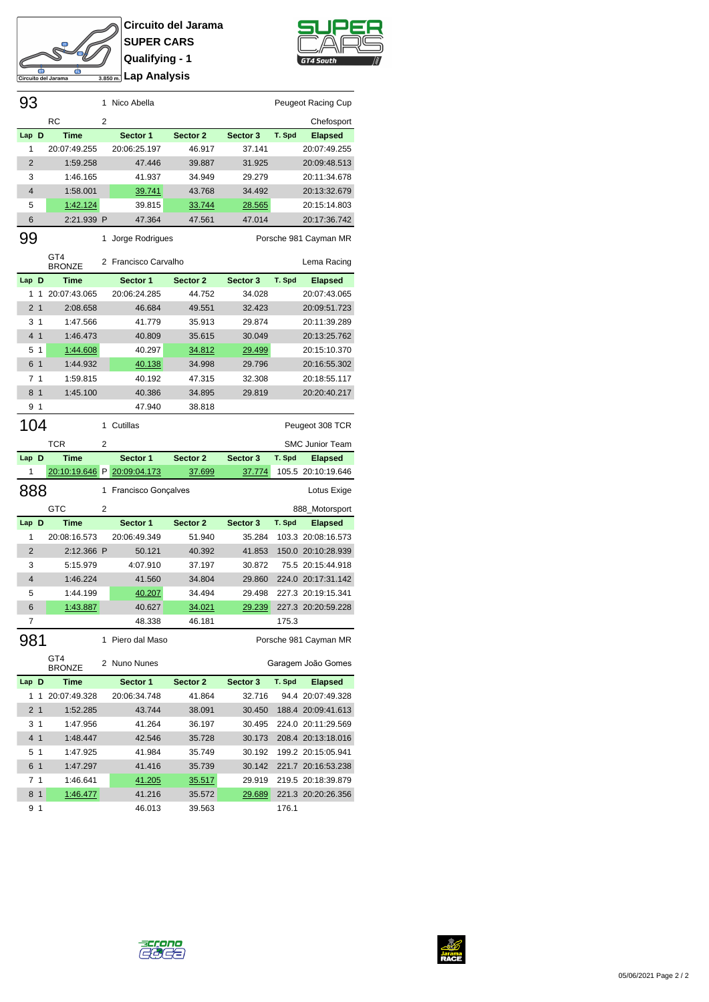

**Circuito del Jarama SUPER CARS Qualifying - 1 Lap Analysis**



| 93             |                |                      | 1              | Nico Abella           |          |               |        | Peugeot Racing Cup     |
|----------------|----------------|----------------------|----------------|-----------------------|----------|---------------|--------|------------------------|
|                |                | <b>RC</b>            | 2              |                       |          |               |        | Chefosport             |
| Lap D          |                | <b>Time</b>          |                | Sector 1              | Sector 2 | Sector 3      | T. Spd | <b>Elapsed</b>         |
| 1              |                | 20:07:49.255         |                | 20:06:25.197          | 46.917   | 37.141        |        | 20:07:49.255           |
| 2              |                | 1:59.258             |                | 47.446                | 39.887   | 31.925        |        | 20:09:48.513           |
| 3              |                | 1:46.165             |                | 41.937                | 34.949   | 29.279        |        | 20:11:34.678           |
| $\overline{4}$ |                | 1:58.001             |                | 39.741                | 43.768   | 34.492        |        | 20:13:32.679           |
| 5              |                | 1:42.124             |                | 39.815                | 33.744   | <u>28.565</u> |        | 20:15:14.803           |
| 6              |                | 2:21.939 P           |                | 47.364                | 47.561   | 47.014        |        | 20:17:36.742           |
| 99             |                |                      |                | 1 Jorge Rodrigues     |          |               |        | Porsche 981 Cayman MR  |
|                |                | GT4<br><b>BRONZE</b> |                | 2 Francisco Carvalho  |          |               |        | Lema Racing            |
| Lap            | D              | <b>Time</b>          |                | Sector 1              | Sector 2 | Sector 3      | T. Spd | <b>Elapsed</b>         |
| 1              | 1              | 20:07:43.065         |                | 20:06:24.285          | 44.752   | 34.028        |        | 20:07:43.065           |
| 2              | $\overline{1}$ | 2:08.658             |                | 46.684                | 49.551   | 32.423        |        | 20:09:51.723           |
| 3              | $\mathbf{1}$   | 1:47.566             |                | 41.779                | 35.913   | 29.874        |        | 20:11:39.289           |
| 4              | $\mathbf{1}$   | 1:46.473             |                | 40.809                | 35.615   | 30.049        |        | 20:13:25.762           |
| 5              | $\mathbf{1}$   | 1:44.608             |                | 40.297                | 34.812   | 29.499        |        | 20:15:10.370           |
| 6 1            |                | 1:44.932             |                | 40.138                | 34.998   | 29.796        |        | 20:16:55.302           |
| 7 <sub>1</sub> |                | 1:59.815             |                | 40.192                | 47.315   | 32.308        |        | 20:18:55.117           |
| 8 1            |                | 1:45.100             |                | 40.386                | 34.895   | 29.819        |        | 20:20:40.217           |
| 9              | $\mathbf{1}$   |                      |                | 47.940                | 38.818   |               |        |                        |
| 104            |                |                      | 1              | Cutillas              |          |               |        | Peugeot 308 TCR        |
|                |                | <b>TCR</b>           |                |                       |          |               |        |                        |
|                |                |                      | 2              |                       |          |               |        | <b>SMC Junior Team</b> |
|                |                |                      |                |                       |          |               |        |                        |
| Lap D          |                | <b>Time</b>          |                | Sector 1              | Sector 2 | Sector 3      | T. Spd | <b>Elapsed</b>         |
| 1              |                | 20:10:19.646 P       |                | 20:09:04.173          | 37.699   | 37.774        |        | 105.5 20:10:19.646     |
| 888            |                |                      |                | 1 Francisco Gonçalves |          |               |        | Lotus Exige            |
|                |                | GTC                  | $\overline{2}$ |                       |          |               |        | 888_Motorsport         |
| Lap            | D              | <b>Time</b>          |                | Sector 1              | Sector 2 | Sector 3      | T. Spd | <b>Elapsed</b>         |
| 1              |                | 20:08:16.573         |                | 20:06:49.349          | 51.940   | 35.284        |        | 103.3 20:08:16.573     |
| $\overline{2}$ |                | 2:12.366 P           |                | 50.121                | 40.392   | 41.853        |        | 150.0 20:10:28.939     |
| 3              |                | 5:15.979             |                | 4:07.910              | 37.197   | 30.872        |        | 75.5 20:15:44.918      |
| $\overline{4}$ |                | 1:46.224             |                | 41.560                | 34.804   | 29.860        |        | 224.0 20:17:31.142     |
| 5              |                | 1:44.199             |                | <u>40.207</u>         | 34.494   | 29.498        |        | 227.3 20:19:15.341     |
| 6              |                | 1:43.887             |                | 40.627                | 34.021   | 29.239        |        | 227.3 20:20:59.228     |
| 7              |                |                      |                | 48.338                | 46.181   |               | 175.3  |                        |
| 981            |                |                      |                | 1 Piero dal Maso      |          |               |        | Porsche 981 Cayman MR  |
|                |                | GT4<br><b>BRONZE</b> |                | 2 Nuno Nunes          |          |               |        | Garagem João Gomes     |
| Lap D          |                | Time                 |                | Sector 1              | Sector 2 | Sector 3      | T. Spd | <b>Elapsed</b>         |
| 1              | 1              | 20:07:49.328         |                | 20:06:34.748          | 41.864   | 32.716        |        | 94.4 20:07:49.328      |
| 2 <sub>1</sub> |                | 1:52.285             |                | 43.744                | 38.091   | 30.450        |        | 188.4 20:09:41.613     |
|                | 31             | 1:47.956             |                | 41.264                | 36.197   | 30.495        |        | 224.0 20:11:29.569     |
| 4 1            |                | 1:48.447             |                | 42.546                | 35.728   | 30.173        |        | 208.4 20:13:18.016     |
| 5 <sub>1</sub> |                | 1:47.925             |                | 41.984                | 35.749   | 30.192        |        | 199.2 20:15:05.941     |
| 6 1            |                | 1:47.297             |                | 41.416                | 35.739   | 30.142        |        | 221.7 20:16:53.238     |
| 7 <sub>1</sub> |                | 1:46.641             |                | <u>41.205</u>         | 35.517   | 29.919        |        | 219.5 20:18:39.879     |
| 8 1            |                | 1:46.477             |                | 41.216                | 35.572   | <u>29.689</u> |        | 221.3 20:20:26.356     |



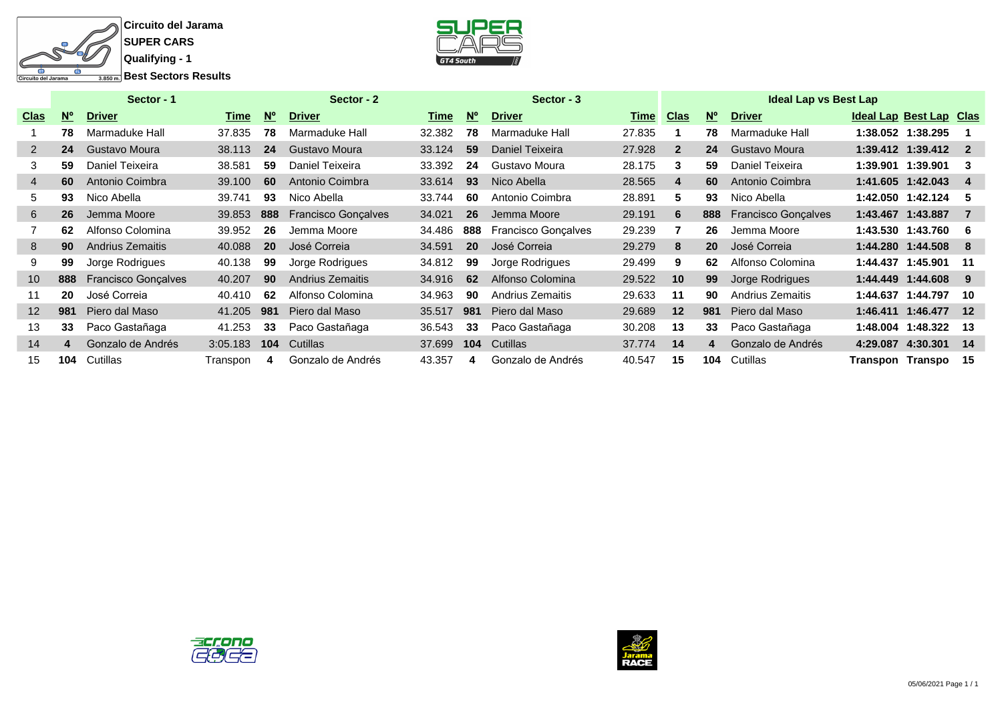



|                   |             | Sector - 1                 |          |             | Sector - 2                 |        |             | Sector - 3                 |             |                |             | <b>Ideal Lap vs Best Lap</b> |                  |                         |                |
|-------------------|-------------|----------------------------|----------|-------------|----------------------------|--------|-------------|----------------------------|-------------|----------------|-------------|------------------------------|------------------|-------------------------|----------------|
| <b>Clas</b>       | $N^{\circ}$ | <b>Driver</b>              | Time     | $N^{\circ}$ | <b>Driver</b>              | Time   | $N^{\circ}$ | <b>Driver</b>              | <b>Time</b> | <b>Clas</b>    | $N^{\circ}$ | <b>Driver</b>                |                  | Ideal Lap Best Lap Clas |                |
|                   | 78          | Marmaduke Hall             | 37.835   | 78          | Marmaduke Hall             | 32.382 | 78          | Marmaduke Hall             | 27.835      |                | 78          | Marmaduke Hall               |                  | 1:38.052 1:38.295       |                |
| $\mathbf{2}$      | 24          | Gustavo Moura              | 38.113   | 24          | Gustavo Moura              | 33.124 | 59          | Daniel Teixeira            | 27.928      | $\overline{2}$ | 24          | Gustavo Moura                |                  | 1:39.412 1:39.412       | $\overline{2}$ |
| 3                 | 59          | Daniel Teixeira            | 38.581   | 59          | Daniel Teixeira            | 33.392 | 24          | Gustavo Moura              | 28.175      | 3              | 59          | Daniel Teixeira              |                  | 1:39.901 1:39.901       | 3              |
| $\overline{4}$    | 60          | Antonio Coimbra            | 39.100   | 60          | Antonio Coimbra            | 33.614 | 93          | Nico Abella                | 28.565      | 4              | 60          | Antonio Coimbra              |                  | 1:41.605 1:42.043       | 4              |
| 5                 | 93          | Nico Abella                | 39.741   | 93          | Nico Abella                | 33.744 | 60          | Antonio Coimbra            | 28.891      | 5              | 93          | Nico Abella                  |                  | 1:42.050 1:42.124       | 5              |
| 6                 | 26          | Jemma Moore                | 39.853   | 888         | <b>Francisco Gonçalves</b> | 34.021 | 26          | Jemma Moore                | 29.191      | 6              | 888         | <b>Francisco Gonçalves</b>   |                  | 1:43.467 1:43.887       |                |
|                   | 62          | Alfonso Colomina           | 39.952   | 26          | Jemma Moore                | 34.486 | 888         | <b>Francisco Goncalves</b> | 29.239      |                | 26          | Jemma Moore                  |                  | 1:43.530 1:43.760       | -6             |
| 8                 | 90          | Andrius Zemaitis           | 40.088   | 20          | José Correia               | 34.591 | 20          | José Correia               | 29.279      | 8              | <b>20</b>   | José Correia                 |                  | 1:44.280 1:44.508       | 8              |
| 9                 | 99          | Jorge Rodrigues            | 40.138   | 99          | Jorge Rodrigues            | 34.812 | 99          | Jorge Rodrigues            | 29.499      | 9              | 62          | Alfonso Colomina             |                  | 1:44.437 1:45.901       | 11             |
| 10 <sup>°</sup>   | 888         | <b>Francisco Gonçalves</b> | 40.207   | 90          | <b>Andrius Zemaitis</b>    | 34.916 | 62          | Alfonso Colomina           | 29.522      | 10             | 99          | Jorge Rodrigues              |                  | 1:44.449 1:44.608       | 9              |
| 11                | 20          | José Correia               | 40.410   | 62          | Alfonso Colomina           | 34.963 | 90          | Andrius Zemaitis           | 29.633      | 11             | 90          | Andrius Zemaitis             |                  | 1:44.637 1:44.797       | 10             |
| $12 \overline{ }$ | 981         | Piero dal Maso             | 41.205   | 981         | Piero dal Maso             | 35.517 | 981         | Piero dal Maso             | 29.689      | 12             | 981         | Piero dal Maso               |                  | 1:46.411 1:46.477       | 12             |
| 13                | 33          | Paco Gastañaga             | 41.253   | 33          | Paco Gastañaga             | 36.543 | 33          | Paco Gastañaga             | 30.208      | 13             | 33          | Paco Gastañaga               | 1:48.004         | 1:48.322                | 13             |
| 14                | 4           | Gonzalo de Andrés          | 3:05.183 | 104         | Cutillas                   | 37.699 | 104         | Cutillas                   | 37.774      | 14             |             | Gonzalo de Andrés            |                  | 4:29.087 4:30.301       | -14            |
| 15                | 104         | Cutillas                   | Transpon | 4           | Gonzalo de Andrés          | 43.357 | 4           | Gonzalo de Andrés          | 40.547      | 15             | 104         | Cutillas                     | Transpon Transpo |                         | -15            |





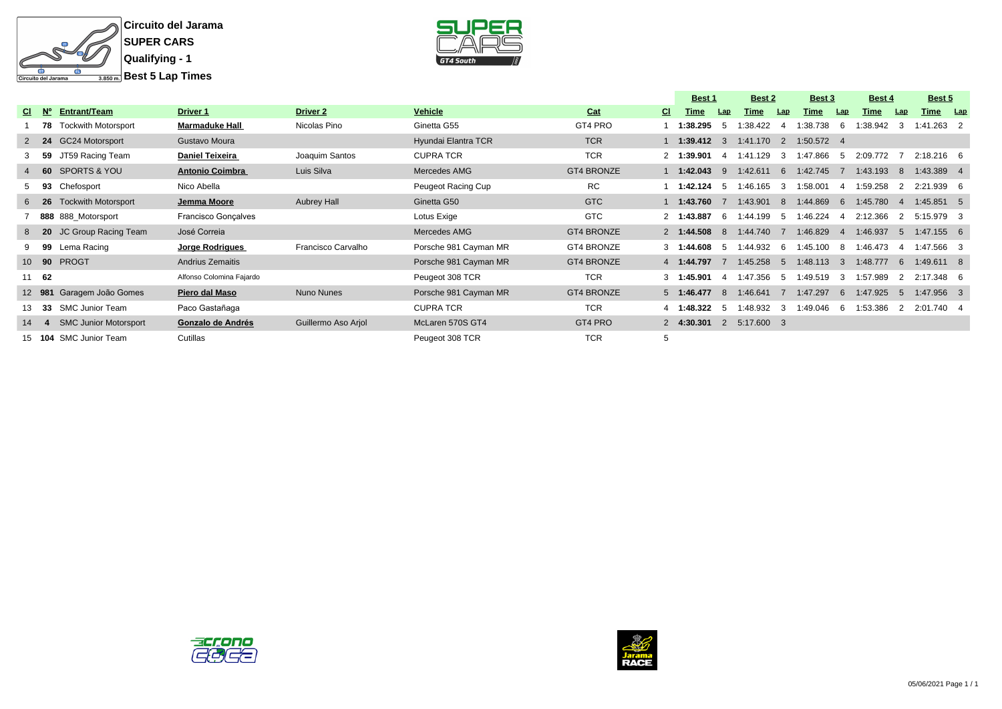



|                |              |                              |                          |                     |                       |                   |     | <b>Best 1</b> |              | <b>Best 2</b> |                | Best 3       |                        | <b>Best 4</b> |                | Best 5                 |            |
|----------------|--------------|------------------------------|--------------------------|---------------------|-----------------------|-------------------|-----|---------------|--------------|---------------|----------------|--------------|------------------------|---------------|----------------|------------------------|------------|
| <b>CI</b>      | N°           | Entrant/Team                 | Driver 1                 | <b>Driver 2</b>     | Vehicle               | Cat               | CI. | Time          | Lap          | Time          | Lap            | Time         | Lap                    | Time          | Lap            | Time                   | <u>Lap</u> |
|                | 78           | <b>Tockwith Motorsport</b>   | <b>Marmaduke Hall</b>    | Nicolas Pino        | Ginetta G55           | GT4 PRO           |     | 1:38.295      | 'n           | 1:38.422      |                | :38.738      | 6                      | 1:38.942      | 3              | $1:41.263$ 2           |            |
|                | $2 \quad 24$ | <b>GC24 Motorsport</b>       | Gustavo Moura            |                     | Hyundai Elantra TCR   | <b>TCR</b>        |     | 1:39.412      | $\mathbf{3}$ | 1:41.170      | $\overline{2}$ | $1:50.572$ 4 |                        |               |                |                        |            |
|                | -59          | JT59 Racing Team             | <b>Daniel Teixeira</b>   | Joaquim Santos      | <b>CUPRA TCR</b>      | <b>TCR</b>        |     | 2 1:39.901    | $\mathbf{A}$ | 1:41.129      | 3              | 1:47.866     | -5                     | 2:09.772      |                | $2:18.216$ 6           |            |
| $\overline{4}$ | - 60         | <b>SPORTS &amp; YOU</b>      | <b>Antonio Coimbra</b>   | Luis Silva          | Mercedes AMG          | <b>GT4 BRONZE</b> |     | 1:42.043      | 9            | 1:42.611      | 6              | 1:42.745     |                        | 1:43.193      | 8              | 1:43.389 4             |            |
|                | 93           | Chefosport                   | Nico Abella              |                     | Peugeot Racing Cup    | <b>RC</b>         |     | 1:42.124      | -5           | 1:46.165      | 3              | 1:58.001     | -4                     | 1:59.258      | -2             | .939 6<br>2:21         |            |
|                | 6 26         | <b>Tockwith Motorsport</b>   | Jemma Moore              | <b>Aubrey Hall</b>  | Ginetta G50           | GTC               |     | 1:43.760      |              | 1:43.901      | 8              | 1:44.869     | - 6                    | 1:45.780      | $\overline{4}$ | $1:45.851$ 5           |            |
|                |              | 888 888_Motorsport           | Francisco Gonçalves      |                     | Lotus Exige           | <b>GTC</b>        |     | 2 1:43.887    | -6           | 1:44.199      | -5             | 1:46.224     | -4                     | 2:12.366      | 2              | 5:15.979 3             |            |
|                | $8\quad 20$  | JC Group Racing Team         | José Correia             |                     | Mercedes AMG          | <b>GT4 BRONZE</b> |     | 2 1:44.508    | -8           | 1:44.740      |                | 1:46.829     | $\boldsymbol{\Lambda}$ | 1:46.937      | 5              | $1:47.155$ 6           |            |
|                | 99           | Lema Racing                  | Jorge Rodrigues          | Francisco Carvalho  | Porsche 981 Cayman MR | <b>GT4 BRONZE</b> |     | 3 1:44.608    | -5           | 1:44.932      | -6             | 1:45.100     | 8 <sup>1</sup>         | 1:46.473      | -4             | 1:47.566 3             |            |
|                | 10 90        | <b>PROGT</b>                 | <b>Andrius Zemaitis</b>  |                     | Porsche 981 Cayman MR | <b>GT4 BRONZE</b> |     | 4 1:44.797    |              | 1:45.258      | 5              | 1:48.113     | -3                     | 1:48.777      | 6              | 1:49.611 8             |            |
| 11             | - 62         |                              | Alfonso Colomina Fajardo |                     | Peugeot 308 TCR       | <b>TCR</b>        |     | 3 1:45.901    |              | 1:47.356      | -5             | :49.519      | 3                      | 1:57.989      | $\mathcal{P}$  | $.348 \quad 6$<br>2.17 |            |
|                | 12 981       | Garagem João Gomes           | Piero dal Maso           | Nuno Nunes          | Porsche 981 Cayman MR | <b>GT4 BRONZE</b> |     | 5 1:46.477    | -8           | 1:46.641      |                | 1:47.297     | -6                     | 1:47.925      | -5             | 1:47.956 3             |            |
|                | - 33         | <b>SMC Junior Team</b>       | Paco Gastañaga           |                     | <b>CUPRA TCR</b>      | <b>TCR</b>        |     | 4 1:48.322    | -5           | 1:48.932      | 3              | 1:49.046     | $6\overline{6}$        | 1:53.386      | 2              | 2:01.740 4             |            |
| 14             |              | <b>SMC Junior Motorsport</b> | Gonzalo de Andrés        | Guillermo Aso Arjol | McLaren 570S GT4      | GT4 PRO           |     | 2 4:30.301    | 2            | 5:17.600 3    |                |              |                        |               |                |                        |            |
|                | 15 104       | <b>SMC Junior Team</b>       | Cutillas                 |                     | Peugeot 308 TCR       | <b>TCR</b>        |     |               |              |               |                |              |                        |               |                |                        |            |



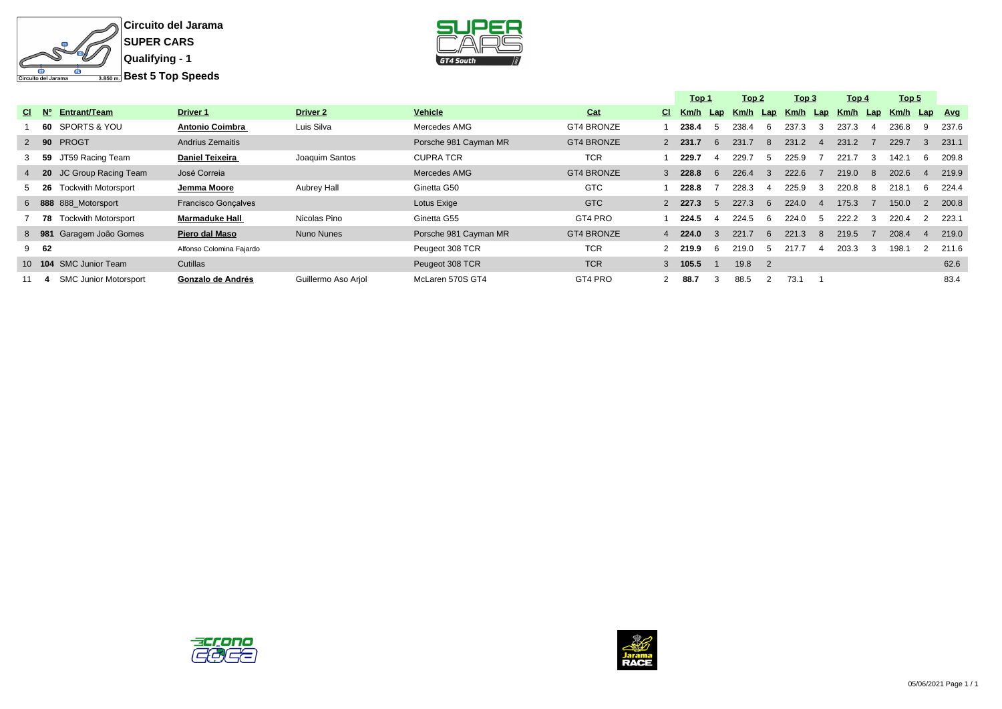



|   |                  |                              |                          |                     |                       |                   |   | Top 1     |              | Top 2    |                            | Top 3    |                | Top 4    |    | Top 5 |     |            |
|---|------------------|------------------------------|--------------------------|---------------------|-----------------------|-------------------|---|-----------|--------------|----------|----------------------------|----------|----------------|----------|----|-------|-----|------------|
|   | $CI$ $N^{\circ}$ | Entrant/Team                 | <b>Driver 1</b>          | <b>Driver 2</b>     | Vehicle               | Cat               |   | CI Km/h   | Lap          | Km/h Lap |                            | Km/h Lap |                | Km/h Lap |    | Km/h  | Lap | <u>Avg</u> |
|   | 60               | SPORTS & YOU                 | <b>Antonio Coimbra</b>   | Luis Silva          | Mercedes AMG          | GT4 BRONZE        |   | 238.4     |              | 238.4    | 6                          | 237.3    | 3              | 237.3    |    | 236.8 | 9   | 237.6      |
|   | $2\quad$ 90      | <b>PROGT</b>                 | <b>Andrius Zemaitis</b>  |                     | Porsche 981 Cayman MR | <b>GT4 BRONZE</b> |   | $2$ 231.7 | 6            | 231.7    | 8                          | 231.2    | $\overline{4}$ | 231.2    |    | 229.7 | 3   | 231.1      |
|   | 3 <sub>59</sub>  | JT59 Racing Team             | <b>Daniel Teixeira</b>   | Joaquim Santos      | <b>CUPRA TCR</b>      | <b>TCR</b>        |   | 229.7     |              | 229.7    |                            | 225.9    |                | 221.7    | 3  | 142.1 | 6   | 209.8      |
|   | 4 20             | JC Group Racing Team         | José Correia             |                     | Mercedes AMG          | <b>GT4 BRONZE</b> |   | $3$ 228.8 | 6            | 226.4    |                            | 222.6    |                | 219.0    | -8 | 202.6 | 4   | 219.9      |
|   | $5\quad 26$      | <b>Tockwith Motorsport</b>   | Jemma Moore              | Aubrey Hall         | Ginetta G50           | <b>GTC</b>        |   | 228.8     |              | 228.3    |                            | 225.9    | 3              | 220.8    | 8  | 218.1 | 6   | 224.4      |
|   |                  | 6 888 888 Motorsport         | Francisco Gonçalves      |                     | Lotus Exige           | <b>GTC</b>        |   | 2, 227.3  | $\mathbf{h}$ | 227.3    | 6                          | 224.0    |                | 175.3    |    | 150.0 | 2   | 200.8      |
|   | 78               | <b>Tockwith Motorsport</b>   | <b>Marmaduke Hall</b>    | Nicolas Pino        | Ginetta G55           | GT4 PRO           |   | 224.5     |              | 224.5    | 6                          | 224.0    |                | 222.2    | 3  | 220.4 |     | 223.1      |
|   | 8 981            | Garagem João Gomes           | Piero dal Maso           | Nuno Nunes          | Porsche 981 Cayman MR | <b>GT4 BRONZE</b> |   | 4 224.0   |              | 221.7    | 6                          | 221.3    | 8              | 219.5    |    | 208.4 | 4   | 219.0      |
| 9 | 62               |                              | Alfonso Colomina Fajardo |                     | Peugeot 308 TCR       | <b>TCR</b>        |   | 2 219.9   | h            | 219.0    |                            | 217.7    |                | 203.3    | 3  | 198.1 |     | 211.6      |
|   | $10$ 104         | <b>SMC Junior Team</b>       | Cutillas                 |                     | Peugeot 308 TCR       | <b>TCR</b>        |   | $3$ 105.5 |              | 19.8     | $\overline{\phantom{0}}^2$ |          |                |          |    |       |     | 62.6       |
|   |                  | <b>SMC Junior Motorsport</b> | Gonzalo de Andrés        | Guillermo Aso Arjol | McLaren 570S GT4      | GT4 PRO           | 2 | 88.7      |              | 88.5     |                            | 73.1     |                |          |    |       |     | 83.4       |



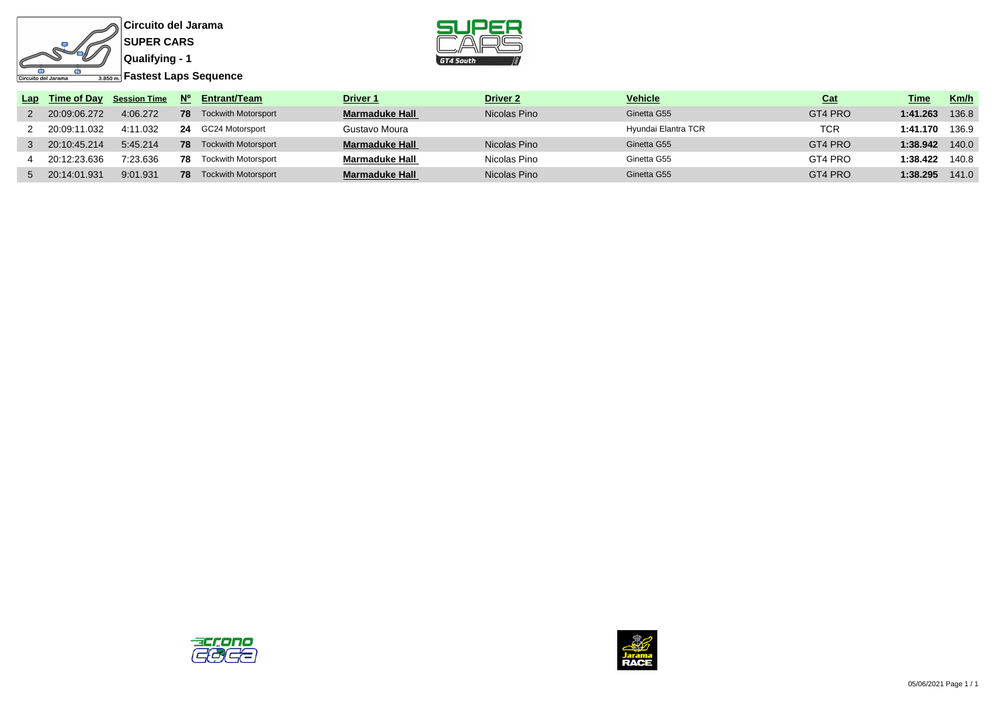





|                | Lap Time of Day Session Time N° |     | Entrant/Team               | <b>Driver 1</b>       | <b>Driver 2</b> | <b>Vehicle</b>      | <u>Cat</u> | Time     | Km/h  |
|----------------|---------------------------------|-----|----------------------------|-----------------------|-----------------|---------------------|------------|----------|-------|
| 2 20:09:06.272 | 4:06.272                        | 78  | <b>Tockwith Motorsport</b> | <b>Marmaduke Hall</b> | Nicolas Pino    | Ginetta G55         | GT4 PRO    | 1:41.263 | 136.8 |
| 2 20:09:11.032 | 4:11.032                        |     | 24 GC24 Motorsport         | Gustavo Moura         |                 | Hyundai Elantra TCR | TCR        | 1:41.170 | 136.9 |
| 20:10:45.214   | 5:45.214                        | 78  | <b>Tockwith Motorsport</b> | <b>Marmaduke Hall</b> | Nicolas Pino    | Ginetta G55         | GT4 PRO    | 1:38.942 | 140.0 |
| 20:12:23.636   | 7:23.636                        | 78. | <b>Tockwith Motorsport</b> | Marmaduke Hall        | Nicolas Pino    | Ginetta G55         | GT4 PRO    | 1:38.422 | 140.8 |
| 5 20:14:01.931 | 9:01.931                        | 78. | <b>Tockwith Motorsport</b> | <b>Marmaduke Hall</b> | Nicolas Pino    | Ginetta G55         | GT4 PRO    | 1:38.295 | 141.0 |



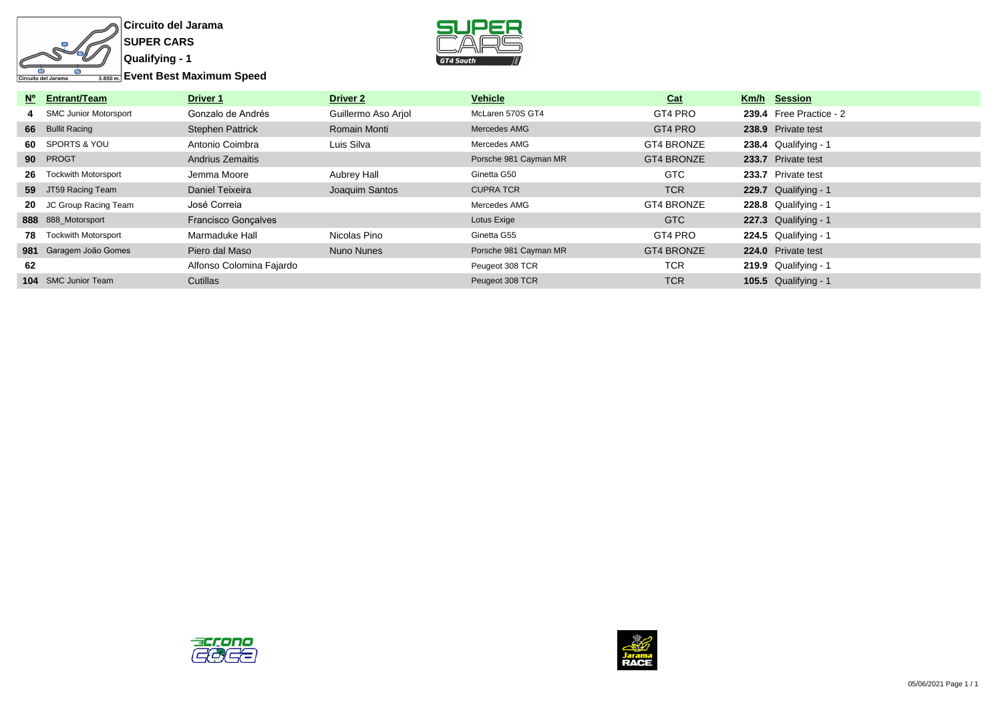

**Circuito del Jarama SUPER CARS**



|     | Nº Entrant/Team              | <b>Driver 1</b>            | Driver 2            | <b>Vehicle</b>        | Cat        | Km/h Session            |
|-----|------------------------------|----------------------------|---------------------|-----------------------|------------|-------------------------|
|     | <b>SMC Junior Motorsport</b> | Gonzalo de Andrés          | Guillermo Aso Ariol | McLaren 570S GT4      | GT4 PRO    | 239.4 Free Practice - 2 |
|     | 66 Bullit Racing             | <b>Stephen Pattrick</b>    | Romain Monti        | Mercedes AMG          | GT4 PRO    | 238.9 Private test      |
|     | 60 SPORTS & YOU              | Antonio Coimbra            | Luis Silva          | Mercedes AMG          | GT4 BRONZE | $238.4$ Qualifying - 1  |
|     | 90 PROGT                     | <b>Andrius Zemaitis</b>    |                     | Porsche 981 Cayman MR | GT4 BRONZE | 233.7 Private test      |
| 26  | <b>Tockwith Motorsport</b>   | Jemma Moore                | Aubrey Hall         | Ginetta G50           | GTC        | 233.7 Private test      |
|     | 59 JT59 Racing Team          | Daniel Teixeira            | Joaquim Santos      | <b>CUPRA TCR</b>      | <b>TCR</b> | 229.7 Qualifying - 1    |
|     | 20 JC Group Racing Team      | José Correia               |                     | Mercedes AMG          | GT4 BRONZE | 228.8 Qualifying - 1    |
|     | 888 888 Motorsport           | <b>Francisco Gonçalves</b> |                     | Lotus Exige           | GTC        | $227.3$ Qualifying - 1  |
| 78. | <b>Tockwith Motorsport</b>   | Marmaduke Hall             | Nicolas Pino        | Ginetta G55           | GT4 PRO    | $224.5$ Qualifying - 1  |
|     | 981 Garagem João Gomes       | Piero dal Maso             | Nuno Nunes          | Porsche 981 Cayman MR | GT4 BRONZE | 224.0 Private test      |
| 62  |                              | Alfonso Colomina Fajardo   |                     | Peugeot 308 TCR       | <b>TCR</b> | $219.9$ Qualifying - 1  |
|     | <b>104</b> SMC Junior Team   | Cutillas                   |                     | Peugeot 308 TCR       | <b>TCR</b> | $105.5$ Qualifying - 1  |